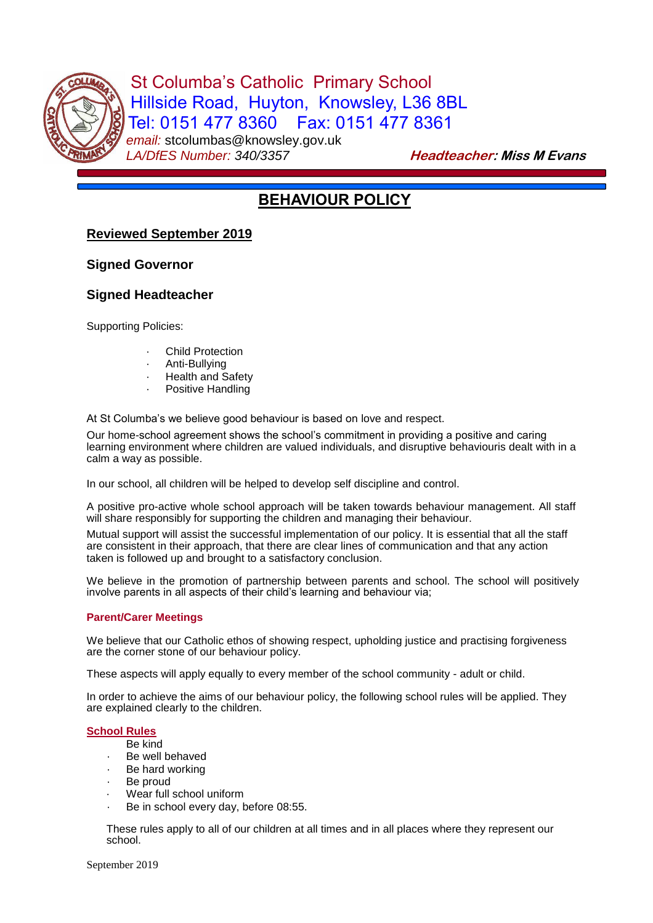

St Columba's Catholic Primary School Hillside Road, Huyton, Knowsley, L36 8BL Tel: 0151 477 8360 Fax: 0151 477 8361 *email:* stcolumbas@knowsley.gov.uk LA/DfES Number: 340/3357 **Headteacher: Miss M Evans** 

# **BEHAVIOUR POLICY**

# **Reviewed September 2019**

# **Signed Governor**

# **Signed Headteacher**

Supporting Policies:

- **Child Protection**
- Anti-Bullying
- **Health and Safety**
- Positive Handling

At St Columba's we believe good behaviour is based on love and respect.

Our home-school agreement shows the school's commitment in providing a positive and caring learning environment where children are valued individuals, and disruptive behaviouris dealt with in a calm a way as possible.

In our school, all children will be helped to develop self discipline and control.

A positive pro-active whole school approach will be taken towards behaviour management. All staff will share responsibly for supporting the children and managing their behaviour.

Mutual support will assist the successful implementation of our policy. It is essential that all the staff are consistent in their approach, that there are clear lines of communication and that any action taken is followed up and brought to a satisfactory conclusion.

We believe in the promotion of partnership between parents and school. The school will positively involve parents in all aspects of their child's learning and behaviour via;

## **Parent/Carer Meetings**

We believe that our Catholic ethos of showing respect, upholding justice and practising forgiveness are the corner stone of our behaviour policy.

These aspects will apply equally to every member of the school community - adult or child.

In order to achieve the aims of our behaviour policy, the following school rules will be applied. They are explained clearly to the children.

## **School Rules**

- Be kind
- Be well behaved
- Be hard working
- Be proud
- Wear full school uniform
- Be in school every day, before 08:55.

These rules apply to all of our children at all times and in all places where they represent our school.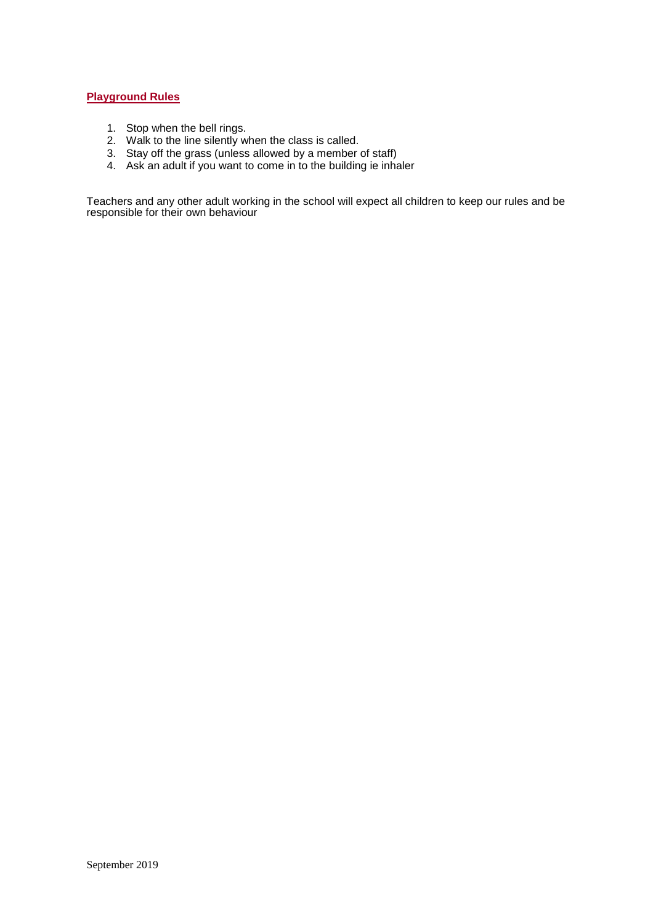### **Playground Rules**

- 1. Stop when the bell rings.
- 2. Walk to the line silently when the class is called.
- 3. Stay off the grass (unless allowed by a member of staff)
- 4. Ask an adult if you want to come in to the building ie inhaler

Teachers and any other adult working in the school will expect all children to keep our rules and be responsible for their own behaviour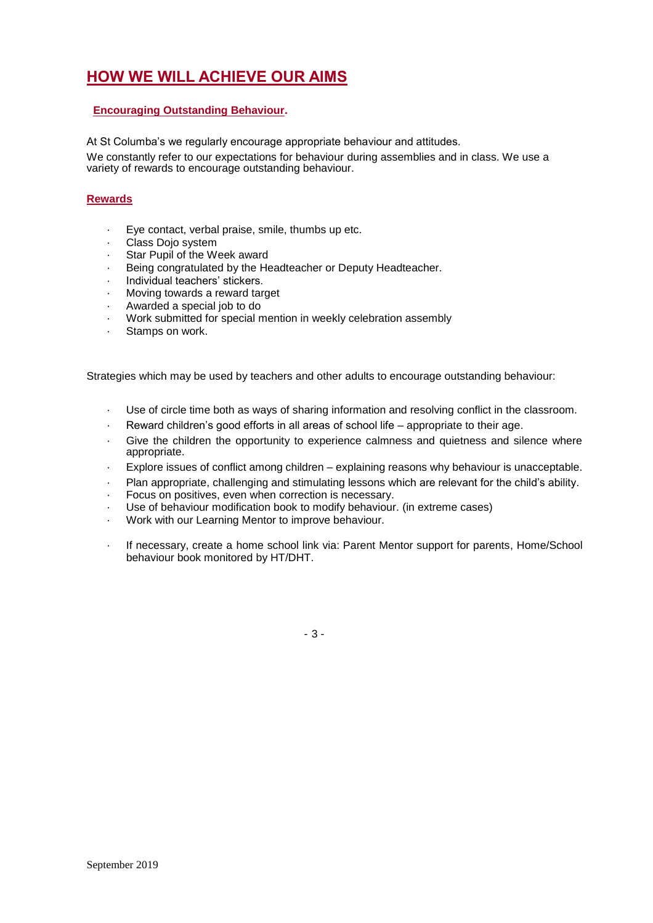# **HOW WE WILL ACHIEVE OUR AIMS**

# **Encouraging Outstanding Behaviour.**

At St Columba's we regularly encourage appropriate behaviour and attitudes.

We constantly refer to our expectations for behaviour during assemblies and in class. We use a variety of rewards to encourage outstanding behaviour.

# **Rewards**

- · Eye contact, verbal praise, smile, thumbs up etc.
- · Class Dojo system
- Star Pupil of the Week award
- Being congratulated by the Headteacher or Deputy Headteacher.
- Individual teachers' stickers.
- Moving towards a reward target
- Awarded a special job to do
- · Work submitted for special mention in weekly celebration assembly
- Stamps on work.

Strategies which may be used by teachers and other adults to encourage outstanding behaviour:

- Use of circle time both as ways of sharing information and resolving conflict in the classroom.
- Reward children's good efforts in all areas of school life appropriate to their age.
- Give the children the opportunity to experience calmness and quietness and silence where appropriate.
- · Explore issues of conflict among children explaining reasons why behaviour is unacceptable.
- Plan appropriate, challenging and stimulating lessons which are relevant for the child's ability.
- Focus on positives, even when correction is necessary.
- Use of behaviour modification book to modify behaviour. (in extreme cases)
- · Work with our Learning Mentor to improve behaviour.
- If necessary, create a home school link via: Parent Mentor support for parents, Home/School behaviour book monitored by HT/DHT.

- 3 -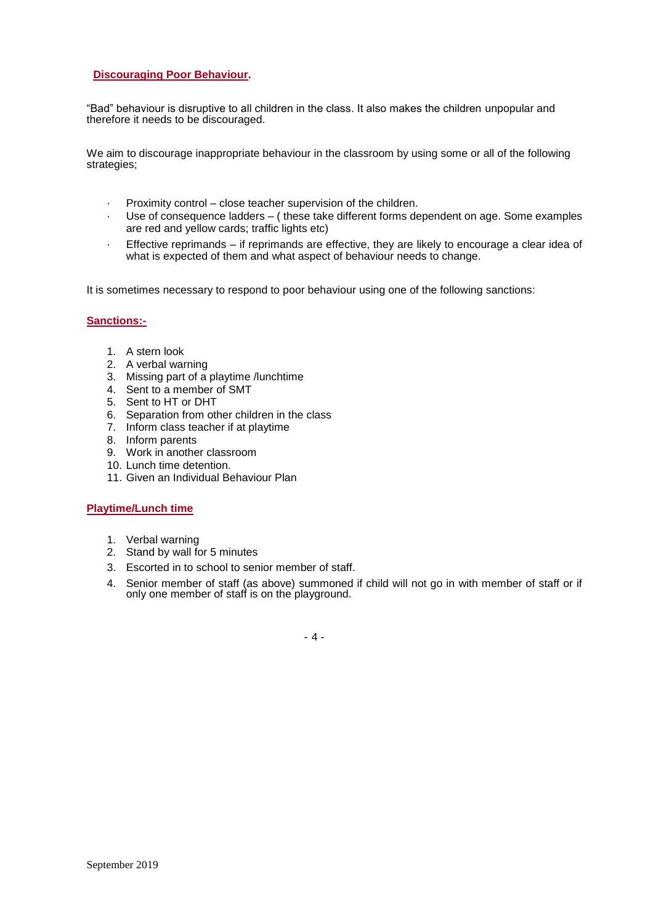### **Discouraging Poor Behaviour.**

"Bad" behaviour is disruptive to all children in the class. It also makes the children unpopular and therefore it needs to be discouraged.

We aim to discourage inappropriate behaviour in the classroom by using some or all of the following strategies;

- · Proximity control close teacher supervision of the children.
- Use of consequence ladders ( these take different forms dependent on age. Some examples are red and yellow cards; traffic lights etc)
- · Effective reprimands if reprimands are effective, they are likely to encourage a clear idea of what is expected of them and what aspect of behaviour needs to change.

It is sometimes necessary to respond to poor behaviour using one of the following sanctions:

#### **Sanctions:-**

- 1. A stern look
- 2. A verbal warning
- 3. Missing part of a playtime /lunchtime
- 4. Sent to a member of SMT
- 5. Sent to HT or DHT
- 6. Separation from other children in the class
- 7. Inform class teacher if at playtime
- 8. Inform parents
- 9. Work in another classroom
- 10. Lunch time detention.
- 11. Given an Individual Behaviour Plan

#### **Playtime/Lunch time**

- 1. Verbal warning
- 2. Stand by wall for 5 minutes
- 3. Escorted in to school to senior member of staff.
- 4. Senior member of staff (as above) summoned if child will not go in with member of staff or if only one member of staff is on the playground.

- 4 -